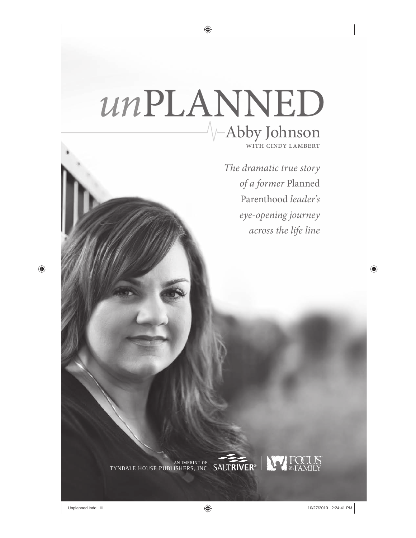# *un*PLANNED Abby Johnson

with cindy lambert

*The dramatic true story of a former* Planned Parenthood *leader's eye-opening journey across the life line*

AN IMPRINT OF<br>.TYNDALE HOUSE PUBLISHERS, INC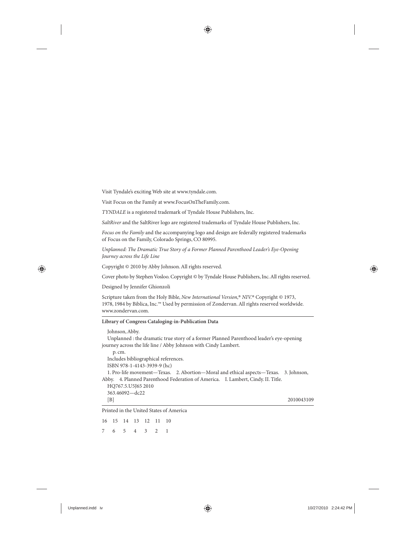Visit Tyndale's exciting Web site at www.tyndale.com.

Visit Focus on the Family at www.FocusOnTheFamily.com.

*TYNDALE* is a registered trademark of Tyndale House Publishers, Inc.

*SaltRiver* and the SaltRiver logo are registered trademarks of Tyndale House Publishers, Inc.

*Focus on the Family* and the accompanying logo and design are federally registered trademarks of Focus on the Family, Colorado Springs, CO 80995.

*Unplanned: The Dramatic True Story of a Former Planned Parenthood Leader's Eye-Opening Journey across the Life Line*

Copyright © 2010 by Abby Johnson. All rights reserved.

Cover photo by Stephen Vosloo. Copyright © by Tyndale House Publishers, Inc. All rights reserved.

Designed by Jennifer Ghionzoli

Scripture taken from the Holy Bible, *New International Version*, ® *NIV.*® Copyright © 1973, 1978, 1984 by Biblica, Inc.™ Used by permission of Zondervan. All rights reserved worldwide. www.zondervan.com.

#### **Library of Congress Cataloging-in-Publication Data**

```
 Johnson, Abby.
```
 Unplanned : the dramatic true story of a former Planned Parenthood leader's eye-opening journey across the life line / Abby Johnson with Cindy Lambert.

```
 p. cm.
  Includes bibliographical references.
  ISBN 978-1-4143-3939-9 (hc)
  1. Pro-life movement—Texas. 2. Abortion—Moral and ethical aspects—Texas. 3. Johnson, 
Abby. 4. Planned Parenthood Federation of America. I. Lambert, Cindy. II. Title. 
  HQ767.5.U5J65 2010
  363.46092—dc22
 [B] 2010043109
```
Printed in the United States of America

16 15 14 13 12 11 10

7 6 5 4 3 2 1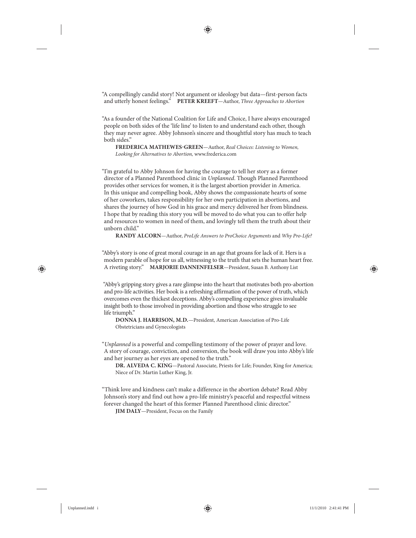"A compellingly candid story! Not argument or ideology but data—first-person facts and utterly honest feelings." **PETER KREEFT**—Author, *Three Approaches to Abortion*

"As a founder of the National Coalition for Life and Choice, I have always encouraged people on both sides of the 'life line' to listen to and understand each other, though they may never agree. Abby Johnson's sincere and thoughtful story has much to teach both sides."

**FREDERICA MATHEWES-GREEN**—Author, *Real Choices: Listening to Women, Looking for Alternatives to Abortion,* www.frederica.com

"I'm grateful to Abby Johnson for having the courage to tell her story as a former director of a Planned Parenthood clinic in *Unplanned*. Though Planned Parenthood provides other services for women, it is the largest abortion provider in America. In this unique and compelling book, Abby shows the compassionate hearts of some of her coworkers, takes responsibility for her own participation in abortions, and shares the journey of how God in his grace and mercy delivered her from blindness. I hope that by reading this story you will be moved to do what you can to offer help and resources to women in need of them, and lovingly tell them the truth about their unborn child."

**RANDY ALCORN**—Author, *ProLife Answers to ProChoice Arguments* and *Why Pro-Life?*

"Abby's story is one of great moral courage in an age that groans for lack of it. Hers is a modern parable of hope for us all, witnessing to the truth that sets the human heart free. A riveting story." **MARJORIE DANNENFELSER** —President, Susan B. Anthony List

 "Abby's gripping story gives a rare glimpse into the heart that motivates both pro-abortion and pro-life activities. Her book is a refreshing affirmation of the power of truth, which overcomes even the thickest deceptions. Abby's compelling experience gives invaluable insight both to those involved in providing abortion and those who struggle to see life triumph."

**DONNA J. HARRISON, M.D.**—President, American Association of Pro-Life Obstetricians and Gynecologists

"*Unplanned* is a powerful and compelling testimony of the power of prayer and love. A story of courage, conviction, and conversion, the book will draw you into Abby's life and her journey as her eyes are opened to the truth."

**DR. ALVEDA C. KING**—Pastoral Associate, Priests for Life; Founder, King for America; Niece of Dr. Martin Luther King, Jr.

"Think love and kindness can't make a difference in the abortion debate? Read Abby Johnson's story and find out how a pro-life ministry's peaceful and respectful witness forever changed the heart of this former Planned Parenthood clinic director."

**JIM DALY**—President, Focus on the Family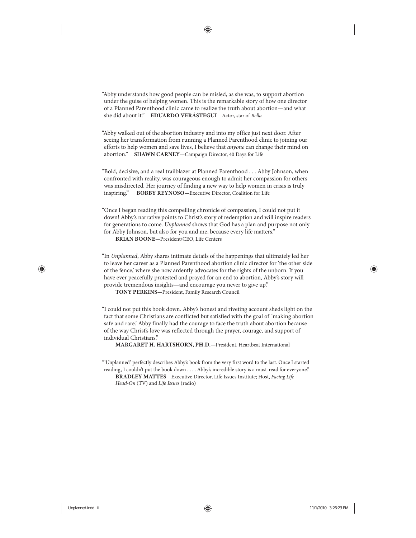"Abby understands how good people can be misled, as she was, to support abortion under the guise of helping women. This is the remarkable story of how one director of a Planned Parenthood clinic came to realize the truth about abortion—and what she did about it." **EDUARDO VERÁSTEGUI** —Actor, star of *Bella*

"Abby walked out of the abortion industry and into my office just next door. After seeing her transformation from running a Planned Parenthood clinic to joining our efforts to help women and save lives, I believe that *anyone* can change their mind on abortion." **SHAWN CARNEY**—Campaign Director, 40 Days for Life

"Bold, decisive, and a real trailblazer at Planned Parenthood . . . Abby Johnson, when confronted with reality, was courageous enough to admit her compassion for others was misdirected. Her journey of finding a new way to help women in crisis is truly inspiring." **BOBBY REYNOSO**—Executive Director, Coalition for Life

"Once I began reading this compelling chronicle of compassion, I could not put it down! Abby's narrative points to Christ's story of redemption and will inspire readers for generations to come. *Unplanned* shows that God has a plan and purpose not only for Abby Johnson, but also for you and me, because every life matters."

**BRIAN BOONE**—President/CEO, Life Centers

"In *Unplanned*, Abby shares intimate details of the happenings that ultimately led her to leave her career as a Planned Parenthood abortion clinic director for 'the other side of the fence,' where she now ardently advocates for the rights of the unborn. If you have ever peacefully protested and prayed for an end to abortion, Abby's story will provide tremendous insights—and encourage you never to give up."

**TONY PERKINS** —President, Family Research Council

"I could not put this book down. Abby's honest and riveting account sheds light on the fact that some Christians are conflicted but satisfied with the goal of 'making abortion safe and rare.' Abby finally had the courage to face the truth about abortion because of the way Christ's love was reflected through the prayer, courage, and support of individual Christians."

**MARGARET H. HARTSHORN, PH.D.**—President, Heartbeat International

"'Unplanned' perfectly describes Abby's book from the very first word to the last. Once I started reading, I couldn't put the book down . . . . Abby's incredible story is a must-read for everyone." **BRADLEY MATTES**—Executive Director, Life Issues Institute; Host, *Facing Life Head-On* (TV) and *Life Issues* (radio)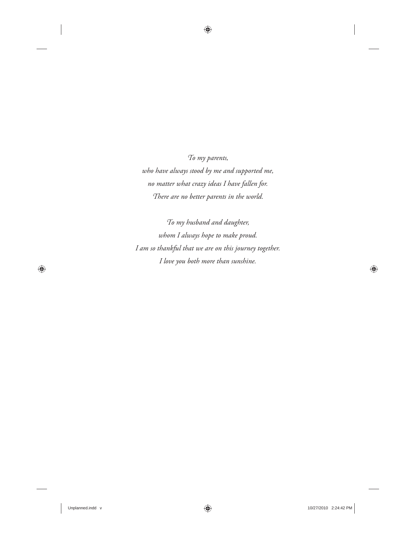*To my parents, who have always stood by me and supported me, no matter what crazy ideas I have fallen for. There are no better parents in the world.*

*To my husband and daughter, whom I always hope to make proud. I am so thankful that we are on this journey together. I love you both more than sunshine.*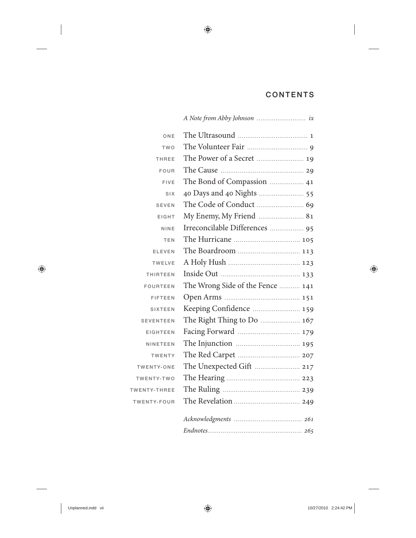#### **CONTENTS**

| ONE              |                                  |  |
|------------------|----------------------------------|--|
| <b>TWO</b>       |                                  |  |
| <b>THREE</b>     | The Power of a Secret  19        |  |
| FOUR             |                                  |  |
| <b>FIVE</b>      | The Bond of Compassion  41       |  |
| SIX              |                                  |  |
| <b>SEVEN</b>     |                                  |  |
| EIGHT            | My Enemy, My Friend  81          |  |
| NINE             | Irreconcilable Differences  95   |  |
| TEN              |                                  |  |
| <b>ELEVEN</b>    |                                  |  |
| TWELVE           |                                  |  |
| <b>THIRTEEN</b>  |                                  |  |
| <b>FOURTEEN</b>  | The Wrong Side of the Fence  141 |  |
| <b>FIFTEEN</b>   |                                  |  |
| <b>SIXTEEN</b>   | Keeping Confidence  159          |  |
| <b>SEVENTEEN</b> |                                  |  |
| <b>EIGHTEEN</b>  |                                  |  |
| NINETEEN         |                                  |  |
| <b>TWENTY</b>    |                                  |  |
| TWENTY-ONE       | The Unexpected Gift  217         |  |
| TWENTY-TWO       |                                  |  |
| TWENTY-THREE     |                                  |  |
| TWENTY-FOUR      |                                  |  |
|                  |                                  |  |
|                  |                                  |  |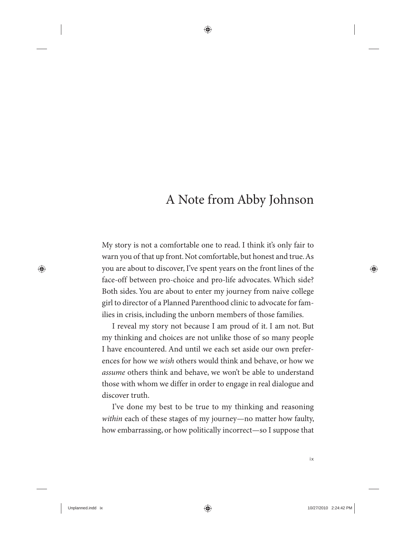### A Note from Abby Johnson

 My story is not a comfortable one to read. I think it's only fair to warn you of that up front. Not comfortable, but honest and true. As you are about to discover, I've spent years on the front lines of the face-off between pro-choice and pro-life advocates. Which side? Both sides. You are about to enter my journey from naive college girl to director of a Planned Parenthood clinic to advocate for families in crisis, including the unborn members of those families.

I reveal my story not because I am proud of it. I am not. But my thinking and choices are not unlike those of so many people I have encountered. And until we each set aside our own preferences for how we *wish* others would think and behave, or how we *assume* others think and behave, we won't be able to understand those with whom we differ in order to engage in real dialogue and discover truth.

I've done my best to be true to my thinking and reasoning *within* each of these stages of my journey—no matter how faulty, how embarrassing, or how politically incorrect—so I suppose that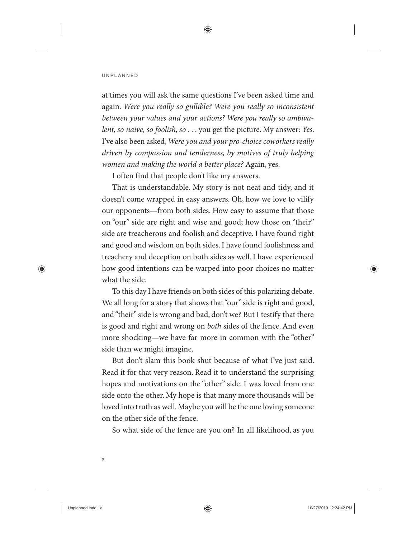at times you will ask the same questions I've been asked time and again. *Were you really so gullible? Were you really so inconsistent between your values and your actions? Were you really so ambivalent, so naive, so foolish, so . . .* you get the picture. My answer: *Yes*. I've also been asked, *Were you and your pro-choice coworkers really driven by compassion and tenderness, by motives of truly helping women and making the world a better place?* Again, yes.

I often find that people don't like my answers.

That is understandable. My story is not neat and tidy, and it doesn't come wrapped in easy answers. Oh, how we love to vilify our opponents—from both sides. How easy to assume that those on "our" side are right and wise and good; how those on "their" side are treacherous and foolish and deceptive. I have found right and good and wisdom on both sides. I have found foolishness and treachery and deception on both sides as well. I have experienced how good intentions can be warped into poor choices no matter what the side.

To this day I have friends on both sides of this polarizing debate. We all long for a story that shows that "our" side is right and good, and "their" side is wrong and bad, don't we? But I testify that there is good and right and wrong on *both* sides of the fence. And even more shocking—we have far more in common with the "other" side than we might imagine.

But don't slam this book shut because of what I've just said. Read it for that very reason. Read it to understand the surprising hopes and motivations on the "other" side. I was loved from one side onto the other. My hope is that many more thousands will be loved into truth as well. Maybe you will be the one loving someone on the other side of the fence.

So what side of the fence are you on? In all likelihood, as you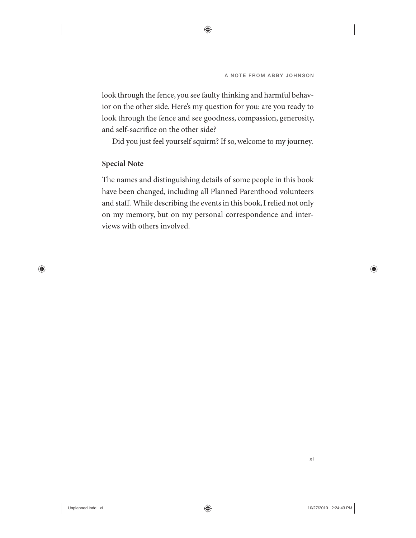look through the fence, you see faulty thinking and harmful behavior on the other side. Here's my question for you: are you ready to look through the fence and see goodness, compassion, generosity, and self-sacrifice on the other side?

Did you just feel yourself squirm? If so, welcome to my journey.

#### **Special Note**

The names and distinguishing details of some people in this book have been changed, including all Planned Parenthood volunteers and staff. While describing the events in this book, I relied not only on my memory, but on my personal correspondence and interviews with others involved.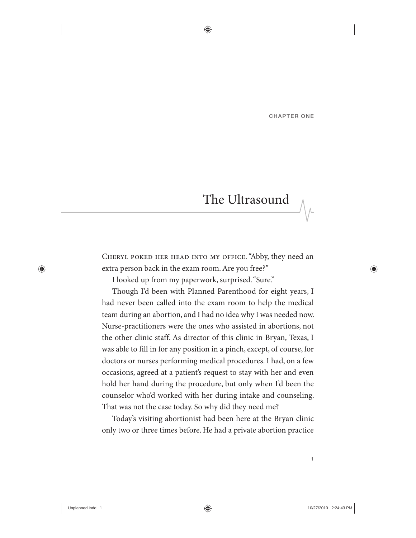## The Ultrasound

Cheryl poked her head into my office. "Abby, they need an extra person back in the exam room. Are you free?"

I looked up from my paperwork, surprised. "Sure."

Though I'd been with Planned Parenthood for eight years, I had never been called into the exam room to help the medical team during an abortion, and I had no idea why I was needed now. Nurse-practitioners were the ones who assisted in abortions, not the other clinic staff. As director of this clinic in Bryan, Texas, I was able to fill in for any position in a pinch, except, of course, for doctors or nurses performing medical procedures. I had, on a few occasions, agreed at a patient's request to stay with her and even hold her hand during the procedure, but only when I'd been the counselor who'd worked with her during intake and counseling. That was not the case today. So why did they need me?

Today's visiting abortionist had been here at the Bryan clinic only two or three times before. He had a private abortion practice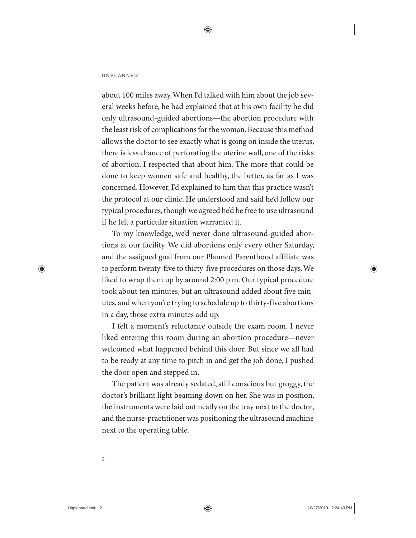about 100 miles away. When I'd talked with him about the job several weeks before, he had explained that at his own facility he did only ultrasound-guided abortions—the abortion procedure with the least risk of complications for the woman. Because this method allows the doctor to see exactly what is going on inside the uterus, there is less chance of perforating the uterine wall, one of the risks of abortion. I respected that about him. The more that could be done to keep women safe and healthy, the better, as far as I was concerned. However, I'd explained to him that this practice wasn't the protocol at our clinic. He understood and said he'd follow our typical procedures, though we agreed he'd be free to use ultrasound if he felt a particular situation warranted it.

To my knowledge, we'd never done ultrasound-guided abortions at our facility. We did abortions only every other Saturday, and the assigned goal from our Planned Parenthood affiliate was to perform twenty-five to thirty-five procedures on those days. We liked to wrap them up by around 2:00 p.m. Our typical procedure took about ten minutes, but an ultrasound added about five minutes, and when you're trying to schedule up to thirty-five abortions in a day, those extra minutes add up.

I felt a moment's reluctance outside the exam room. I never liked entering this room during an abortion procedure—never welcomed what happened behind this door. But since we all had to be ready at any time to pitch in and get the job done, I pushed the door open and stepped in.

The patient was already sedated, still conscious but groggy, the doctor's brilliant light beaming down on her. She was in position, the instruments were laid out neatly on the tray next to the doctor, and the nurse-practitioner was positioning the ultrasound machine next to the operating table.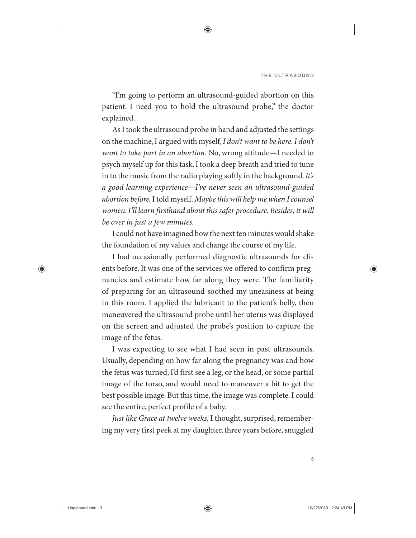"I'm going to perform an ultrasound-guided abortion on this patient. I need you to hold the ultrasound probe," the doctor explained.

As I took the ultrasound probe in hand and adjusted the settings on the machine, I argued with myself, *I don't want to be here. I don't want to take part in an abortion.* No, wrong attitude—I needed to psych myself up for this task. I took a deep breath and tried to tune in to the music from the radio playing softly in the background. *It's a good learning experience—I've never seen an ultrasound-guided abortion before,* I told myself. *Maybe this will help me when I counsel women. I'll learn firsthand about this safer procedure. Besides, it will be over in just a few minutes.*

I could not have imagined how the next ten minutes would shake the foundation of my values and change the course of my life.

I had occasionally performed diagnostic ultrasounds for clients before. It was one of the services we offered to confirm pregnancies and estimate how far along they were. The familiarity of preparing for an ultrasound soothed my uneasiness at being in this room. I applied the lubricant to the patient's belly, then maneuvered the ultrasound probe until her uterus was displayed on the screen and adjusted the probe's position to capture the image of the fetus.

I was expecting to see what I had seen in past ultrasounds. Usually, depending on how far along the pregnancy was and how the fetus was turned, I'd first see a leg, or the head, or some partial image of the torso, and would need to maneuver a bit to get the best possible image. But this time, the image was complete. I could see the entire, perfect profile of a baby.

*Just like Grace at twelve weeks,* I thought, surprised, remembering my very first peek at my daughter, three years before, snuggled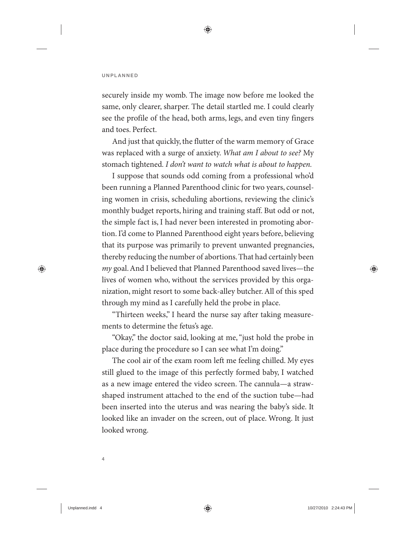securely inside my womb. The image now before me looked the same, only clearer, sharper. The detail startled me. I could clearly see the profile of the head, both arms, legs, and even tiny fingers and toes. Perfect.

And just that quickly, the flutter of the warm memory of Grace was replaced with a surge of anxiety. *What am I about to see?* My stomach tightened*. I don't want to watch what is about to happen.*

I suppose that sounds odd coming from a professional who'd been running a Planned Parenthood clinic for two years, counseling women in crisis, scheduling abortions, reviewing the clinic's monthly budget reports, hiring and training staff. But odd or not, the simple fact is, I had never been interested in promoting abortion. I'd come to Planned Parenthood eight years before, believing that its purpose was primarily to prevent unwanted pregnancies, thereby reducing the number of abortions. That had certainly been *my* goal. And I believed that Planned Parenthood saved lives—the lives of women who, without the services provided by this organization, might resort to some back-alley butcher. All of this sped through my mind as I carefully held the probe in place.

"Thirteen weeks," I heard the nurse say after taking measurements to determine the fetus's age.

"Okay," the doctor said, looking at me, "just hold the probe in place during the procedure so I can see what I'm doing."

The cool air of the exam room left me feeling chilled. My eyes still glued to the image of this perfectly formed baby, I watched as a new image entered the video screen. The cannula—a strawshaped instrument attached to the end of the suction tube—had been inserted into the uterus and was nearing the baby's side. It looked like an invader on the screen, out of place. Wrong. It just looked wrong.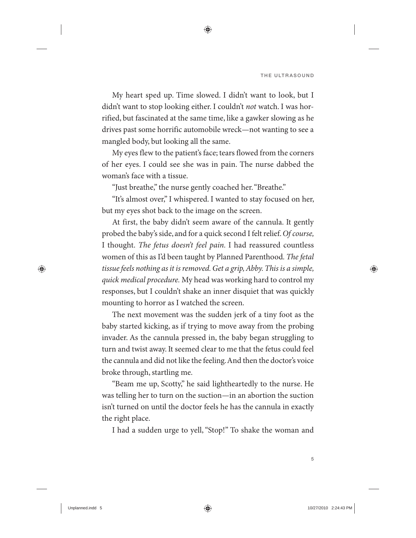My heart sped up. Time slowed. I didn't want to look, but I didn't want to stop looking either. I couldn't *not* watch. I was horrified, but fascinated at the same time, like a gawker slowing as he drives past some horrific automobile wreck—not wanting to see a mangled body, but looking all the same.

My eyes flew to the patient's face; tears flowed from the corners of her eyes. I could see she was in pain. The nurse dabbed the woman's face with a tissue.

"Just breathe," the nurse gently coached her. "Breathe."

"It's almost over," I whispered. I wanted to stay focused on her, but my eyes shot back to the image on the screen.

At first, the baby didn't seem aware of the cannula. It gently probed the baby's side, and for a quick second I felt relief. *Of course,*  I thought. *The fetus doesn't feel pain.* I had reassured countless women of this as I'd been taught by Planned Parenthood*. The fetal tissue feels nothing as it is removed. Get a grip, Abby. This is a simple, quick medical procedure.* My head was working hard to control my responses, but I couldn't shake an inner disquiet that was quickly mounting to horror as I watched the screen.

The next movement was the sudden jerk of a tiny foot as the baby started kicking, as if trying to move away from the probing invader. As the cannula pressed in, the baby began struggling to turn and twist away. It seemed clear to me that the fetus could feel the cannula and did not like the feeling. And then the doctor's voice broke through, startling me.

"Beam me up, Scotty," he said lightheartedly to the nurse. He was telling her to turn on the suction—in an abortion the suction isn't turned on until the doctor feels he has the cannula in exactly the right place.

I had a sudden urge to yell, "Stop!" To shake the woman and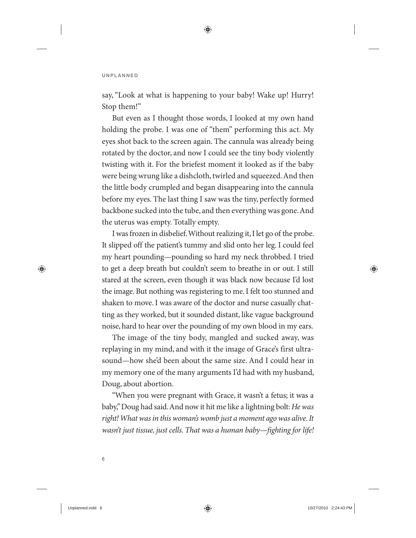say, "Look at what is happening to your baby! Wake up! Hurry! Stop them!"

But even as I thought those words, I looked at my own hand holding the probe. I was one of "them" performing this act. My eyes shot back to the screen again. The cannula was already being rotated by the doctor, and now I could see the tiny body violently twisting with it. For the briefest moment it looked as if the baby were being wrung like a dishcloth, twirled and squeezed. And then the little body crumpled and began disappearing into the cannula before my eyes. The last thing I saw was the tiny, perfectly formed backbone sucked into the tube, and then everything was gone. And the uterus was empty. Totally empty.

I was frozen in disbelief. Without realizing it, I let go of the probe. It slipped off the patient's tummy and slid onto her leg. I could feel my heart pounding—pounding so hard my neck throbbed. I tried to get a deep breath but couldn't seem to breathe in or out. I still stared at the screen, even though it was black now because I'd lost the image. But nothing was registering to me. I felt too stunned and shaken to move. I was aware of the doctor and nurse casually chatting as they worked, but it sounded distant, like vague background noise, hard to hear over the pounding of my own blood in my ears.

The image of the tiny body, mangled and sucked away, was replaying in my mind, and with it the image of Grace's first ultrasound—how she'd been about the same size. And I could hear in my memory one of the many arguments I'd had with my husband, Doug, about abortion.

"When you were pregnant with Grace, it wasn't a fetus; it was a baby," Doug had said. And now it hit me like a lightning bolt: *He was right! What was in this woman's womb just a moment ago was alive. It wasn't just tissue, just cells. That was a human baby—fighting for life!*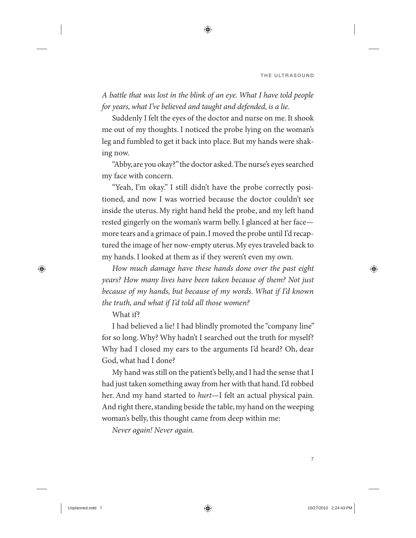*A battle that was lost in the blink of an eye. What I have told people for years, what I've believed and taught and defended, is a lie.*

Suddenly I felt the eyes of the doctor and nurse on me. It shook me out of my thoughts. I noticed the probe lying on the woman's leg and fumbled to get it back into place. But my hands were shaking now.

"Abby, are you okay?" the doctor asked. The nurse's eyes searched my face with concern.

"Yeah, I'm okay." I still didn't have the probe correctly positioned, and now I was worried because the doctor couldn't see inside the uterus. My right hand held the probe, and my left hand rested gingerly on the woman's warm belly. I glanced at her face more tears and a grimace of pain. I moved the probe until I'd recaptured the image of her now-empty uterus. My eyes traveled back to my hands. I looked at them as if they weren't even my own.

*How much damage have these hands done over the past eight years? How many lives have been taken because of them? Not just because of my hands, but because of my words. What if I'd known the truth, and what if I'd told all those women?*

What if?

I had believed a lie! I had blindly promoted the "company line" for so long. Why? Why hadn't I searched out the truth for myself? Why had I closed my ears to the arguments I'd heard? Oh, dear God, what had I done?

My hand was still on the patient's belly, and I had the sense that I had just taken something away from her with that hand. I'd robbed her. And my hand started to *hurt*—I felt an actual physical pain. And right there, standing beside the table, my hand on the weeping woman's belly, this thought came from deep within me:

*Never again! Never again.*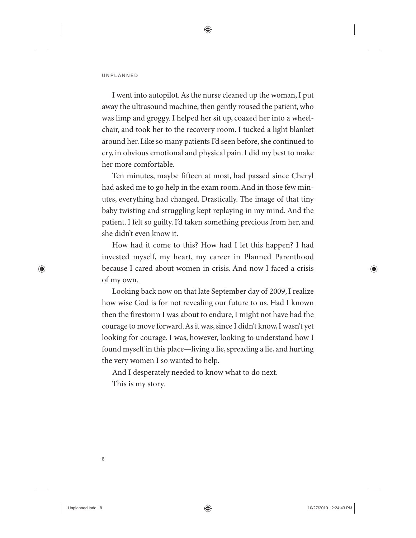I went into autopilot. As the nurse cleaned up the woman, I put away the ultrasound machine, then gently roused the patient, who was limp and groggy. I helped her sit up, coaxed her into a wheelchair, and took her to the recovery room. I tucked a light blanket around her. Like so many patients I'd seen before, she continued to cry, in obvious emotional and physical pain. I did my best to make her more comfortable.

Ten minutes, maybe fifteen at most, had passed since Cheryl had asked me to go help in the exam room. And in those few minutes, everything had changed. Drastically. The image of that tiny baby twisting and struggling kept replaying in my mind. And the patient. I felt so guilty. I'd taken something precious from her, and she didn't even know it.

How had it come to this? How had I let this happen? I had invested myself, my heart, my career in Planned Parenthood because I cared about women in crisis. And now I faced a crisis of my own.

Looking back now on that late September day of 2009, I realize how wise God is for not revealing our future to us. Had I known then the firestorm I was about to endure, I might not have had the courage to move forward. As it was, since I didn't know, I wasn't yet looking for courage. I was, however, looking to understand how I found myself in this place—living a lie, spreading a lie, and hurting the very women I so wanted to help.

And I desperately needed to know what to do next. This is my story.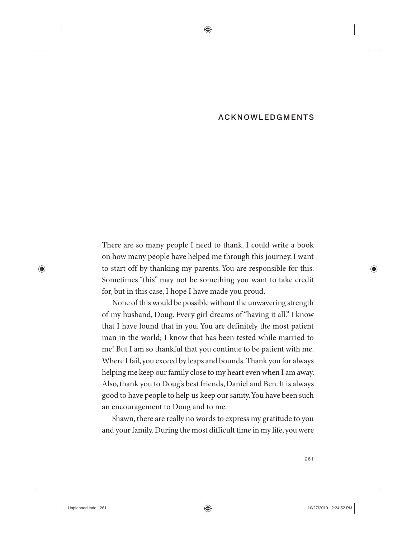#### **ACKNOWLEDGMENTS**

 There are so many people I need to thank. I could write a book on how many people have helped me through this journey. I want to start off by thanking my parents. You are responsible for this. Sometimes "this" may not be something you want to take credit for, but in this case, I hope I have made you proud.

None of this would be possible without the unwavering strength of my husband, Doug. Every girl dreams of "having it all." I know that I have found that in you. You are definitely the most patient man in the world; I know that has been tested while married to me! But I am so thankful that you continue to be patient with me. Where I fail, you exceed by leaps and bounds. Thank you for always helping me keep our family close to my heart even when I am away. Also, thank you to Doug's best friends, Daniel and Ben. It is always good to have people to help us keep our sanity. You have been such an encouragement to Doug and to me.

Shawn, there are really no words to express my gratitude to you and your family. During the most difficult time in my life, you were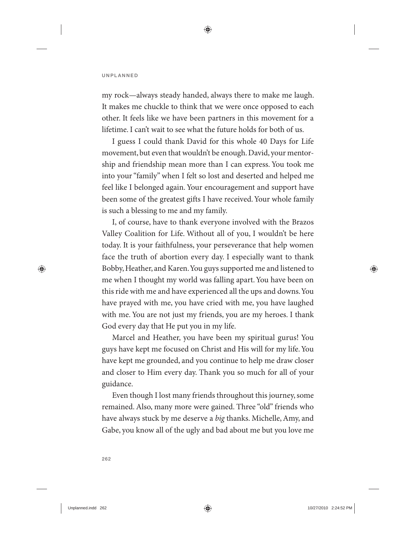my rock—always steady handed, always there to make me laugh. It makes me chuckle to think that we were once opposed to each other. It feels like we have been partners in this movement for a lifetime. I can't wait to see what the future holds for both of us.

I guess I could thank David for this whole 40 Days for Life movement, but even that wouldn't be enough. David, your mentorship and friendship mean more than I can express. You took me into your "family" when I felt so lost and deserted and helped me feel like I belonged again. Your encouragement and support have been some of the greatest gifts I have received. Your whole family is such a blessing to me and my family.

I, of course, have to thank everyone involved with the Brazos Valley Coalition for Life. Without all of you, I wouldn't be here today. It is your faithfulness, your perseverance that help women face the truth of abortion every day. I especially want to thank Bobby, Heather, and Karen. You guys supported me and listened to me when I thought my world was falling apart. You have been on this ride with me and have experienced all the ups and downs. You have prayed with me, you have cried with me, you have laughed with me. You are not just my friends, you are my heroes. I thank God every day that He put you in my life.

Marcel and Heather, you have been my spiritual gurus! You guys have kept me focused on Christ and His will for my life. You have kept me grounded, and you continue to help me draw closer and closer to Him every day. Thank you so much for all of your guidance.

Even though I lost many friends throughout this journey, some remained. Also, many more were gained. Three "old" friends who have always stuck by me deserve a *big* thanks. Michelle, Amy, and Gabe, you know all of the ugly and bad about me but you love me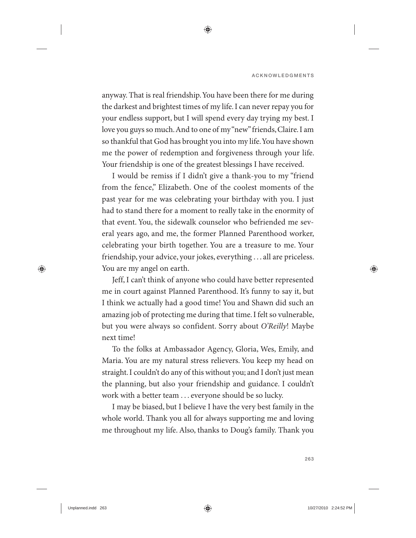anyway. That is real friendship. You have been there for me during the darkest and brightest times of my life. I can never repay you for your endless support, but I will spend every day trying my best. I love you guys so much. And to one of my "new" friends, Claire. I am so thankful that God has brought you into my life. You have shown me the power of redemption and forgiveness through your life. Your friendship is one of the greatest blessings I have received.

I would be remiss if I didn't give a thank-you to my "friend from the fence," Elizabeth. One of the coolest moments of the past year for me was celebrating your birthday with you. I just had to stand there for a moment to really take in the enormity of that event. You, the sidewalk counselor who befriended me several years ago, and me, the former Planned Parenthood worker, celebrating your birth together. You are a treasure to me. Your friendship, your advice, your jokes, everything . . . all are priceless. You are my angel on earth.

Jeff, I can't think of anyone who could have better represented me in court against Planned Parenthood. It's funny to say it, but I think we actually had a good time! You and Shawn did such an amazing job of protecting me during that time. I felt so vulnerable, but you were always so confident. Sorry about *O'Reilly*! Maybe next time!

To the folks at Ambassador Agency, Gloria, Wes, Emily, and Maria. You are my natural stress relievers. You keep my head on straight. I couldn't do any of this without you; and I don't just mean the planning, but also your friendship and guidance. I couldn't work with a better team . . . everyone should be so lucky.

I may be biased, but I believe I have the very best family in the whole world. Thank you all for always supporting me and loving me throughout my life. Also, thanks to Doug's family. Thank you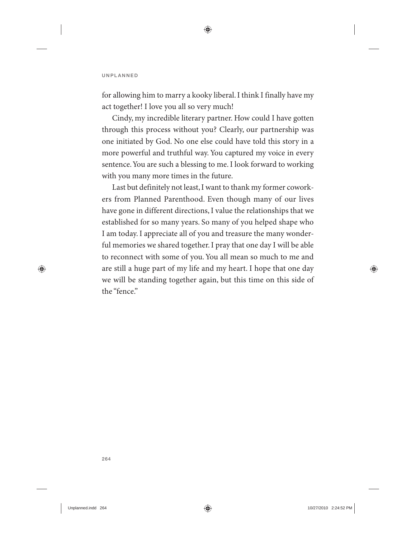for allowing him to marry a kooky liberal. I think I finally have my act together! I love you all so very much!

Cindy, my incredible literary partner. How could I have gotten through this process without you? Clearly, our partnership was one initiated by God. No one else could have told this story in a more powerful and truthful way. You captured my voice in every sentence. You are such a blessing to me. I look forward to working with you many more times in the future.

Last but definitely not least, I want to thank my former coworkers from Planned Parenthood. Even though many of our lives have gone in different directions, I value the relationships that we established for so many years. So many of you helped shape who I am today. I appreciate all of you and treasure the many wonderful memories we shared together. I pray that one day I will be able to reconnect with some of you. You all mean so much to me and are still a huge part of my life and my heart. I hope that one day we will be standing together again, but this time on this side of the "fence."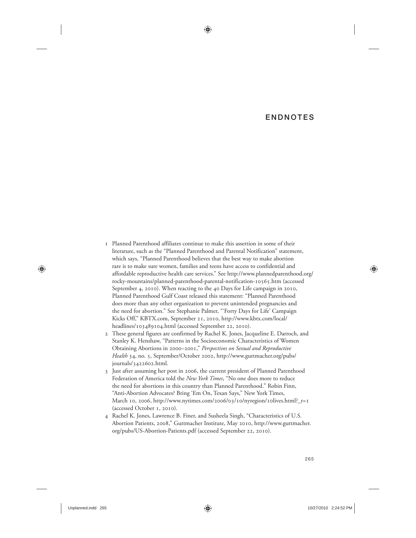#### **ENDNOTES**

- Planned Parenthood affiliates continue to make this assertion in some of their literature, such as the "Planned Parenthood and Parental Notification" statement, which says, "Planned Parenthood believes that the best way to make abortion rare is to make sure women, families and teens have access to confidential and affordable reproductive health care services." See http://www.plannedparenthood.org/ rocky-mountains/planned-parenthood-parental-notification-10565.htm (accessed September 4, 2010). When reacting to the 40 Days for Life campaign in 2010, Planned Parenthood Gulf Coast released this statement: "Planned Parenthood does more than any other organization to prevent unintended pregnancies and the need for abortion." See Stephanie Palmer, "'Forty Days for Life' Campaign Kicks Off," KBTX.com, September 21, 2010, http://www.kbtx.com/local/ headlines/103489104.html (accessed September 22, 2010).
- These general figures are confirmed by Rachel K. Jones, Jacqueline E. Darroch, and Stanley K. Henshaw, "Patterns in the Socioeconomic Characteristics of Women Obtaining Abortions in 2000-2001," *Perspectives on Sexual and Reproductive* Health 34, no. 5, September/October 2002, http://www.guttmacher.org/pubs/ journals/3422602.html.
- 3 Just after assuming her post in 2006, the current president of Planned Parenthood Federation of America told the *New York Times*, "No one does more to reduce the need for abortions in this country than Planned Parenthood." Robin Finn, "Anti-Abortion Advocates? Bring 'Em On, Texan Says," New York Times, March 10, 2006, http://www.nytimes.com/2006/03/10/nyregion/10lives.html?\_r=1  $(accessed October I, 2010).$
- Rachel K. Jones, Lawrence B. Finer, and Susheela Singh, "Characteristics of U.S. Abortion Patients, 2008," Guttmacher Institute, May 2010, http://www.guttmacher. org/pubs/US-Abortion-Patients.pdf (accessed September 22, 2010).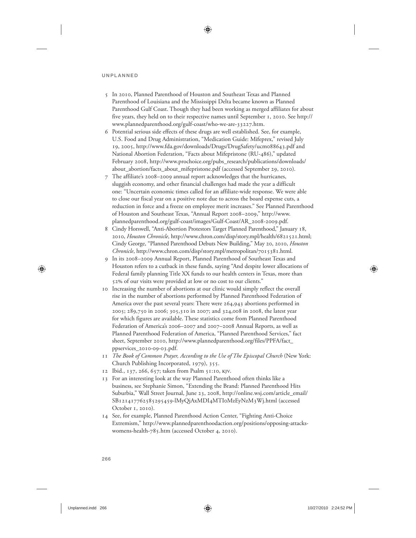- 5 In 2010, Planned Parenthood of Houston and Southeast Texas and Planned Parenthood of Louisiana and the Mississippi Delta became known as Planned Parenthood Gulf Coast. Though they had been working as merged affiliates for about five years, they held on to their respective names until September 1, 2010. See http:// www.plannedparenthood.org/gulf-coast/who-we-are-33227.htm.
- Potential serious side effects of these drugs are well established. See, for example, U.S. Food and Drug Administration, "Medication Guide: Mifeprex," revised July 19, 2005, http://www.fda.gov/downloads/Drugs/DrugSafety/ucm088643.pdf and National Abortion Federation, "Facts about Mifepristone (RU-486)," updated February 2008, http://www.prochoice.org/pubs\_research/publications/downloads/ about\_abortion/facts\_about\_mifepristone.pdf (accessed September 29, 2010).
- 7 The affiliate's 2008-2009 annual report acknowledges that the hurricanes, sluggish economy, and other financial challenges had made the year a difficult one: "Uncertain economic times called for an affiliate-wide response. We were able to close our fiscal year on a positive note due to across the board expense cuts, a reduction in force and a freeze on employee merit increases." See Planned Parenthood of Houston and Southeast Texas, "Annual Report 2008-2009," http://www. plannedparenthood.org/gulf-coast/images/Gulf-Coast/AR\_2008-2009.pdf.
- 8 Cindy Horswell, "Anti-Abortion Protestors Target Planned Parenthood," January 18, 2010, *Houston Chronicle*, http://www.chron.com/disp/story.mpl/health/6821521.html; Cindy George, "Planned Parenthood Debuts New Building," May 20, 2010, *Houston Chronicle*, http://www.chron.com/disp/story.mpl/metropolitan/7015381.html.
- 9 In its 2008–2009 Annual Report, Planned Parenthood of Southeast Texas and Houston refers to a cutback in these funds, saying "And despite lower allocations of Federal family planning Title XX funds to our health centers in Texas, more than 52% of our visits were provided at low or no cost to our clients."
- Increasing the number of abortions at our clinic would simply reflect the overall rise in the number of abortions performed by Planned Parenthood Federation of America over the past several years: There were 264,943 abortions performed in 2005; 289,750 in 2006; 305,310 in 2007; and 324,008 in 2008, the latest year for which figures are available. These statistics come from Planned Parenthood Federation of America's 2006-2007 and 2007-2008 Annual Reports, as well as Planned Parenthood Federation of America, "Planned Parenthood Services," fact sheet, September 2010, http://www.plannedparenthood.org/files/PPFA/fact\_ ppservices\_2010-09-03.pdf.
- *The Book of Common Prayer, According to the Use of The Episcopal Church* (New York: Church Publishing Incorporated, 1979), 355.
- I2 Ibid., 137, 266, 657; taken from Psalm 51:10, KJV.
- For an interesting look at the way Planned Parenthood often thinks like a business, see Stephanie Simon, "Extending the Brand: Planned Parenthood Hits Suburbia," Wall Street Journal, June 23, 2008, http://online.wsj.com/article\_email/ SB121417762585295459-lMyQjAxMDI4MTIoMzEyNzM3Wj.html (accessed October 1, 2010).
- See, for example, Planned Parenthood Action Center, "Fighting Anti-Choice Extremism," http://www.plannedparenthoodaction.org/positions/opposing-attackswomens-health-785.htm (accessed October 4, 2010).